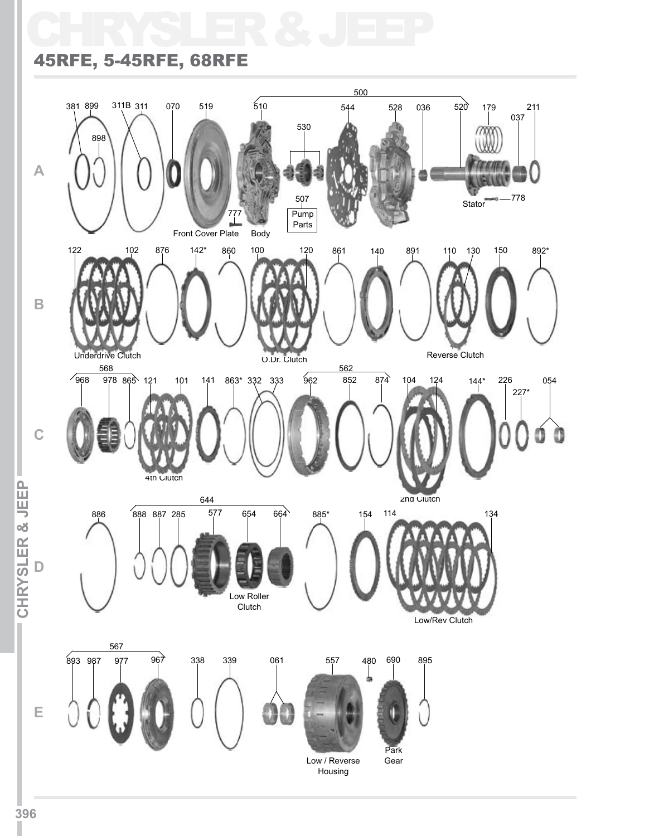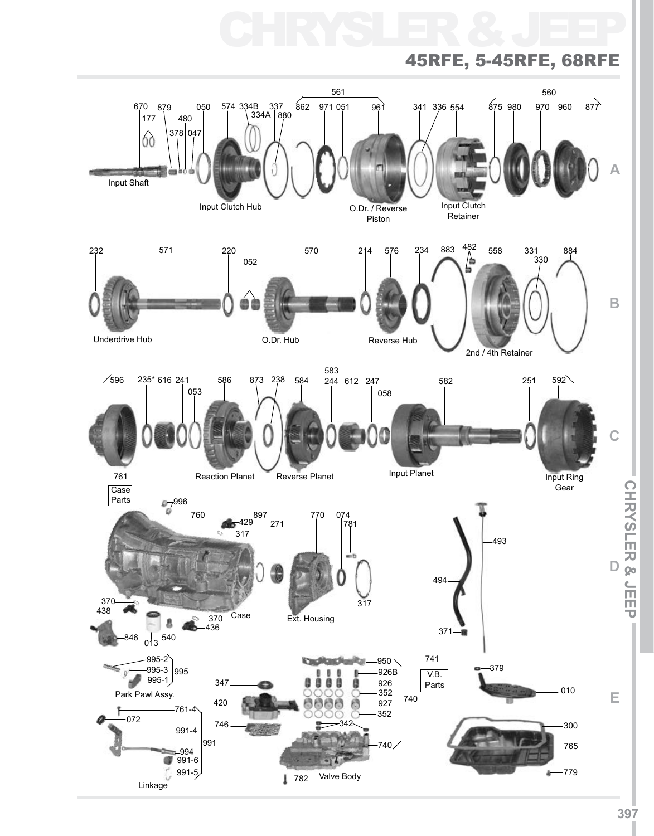# CHRYSLER & JEEP

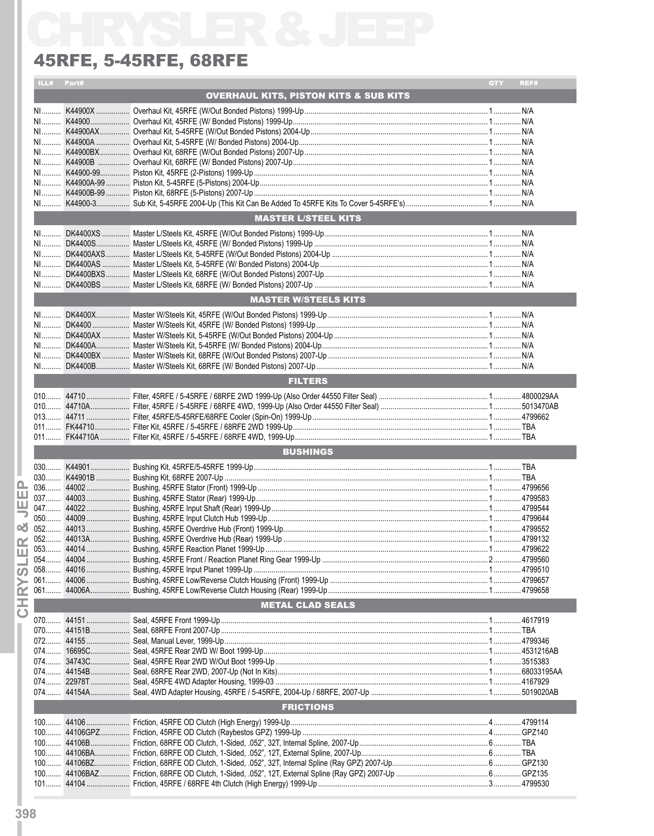### 45RFE, 5-45RFE, 68RFE

|                | ILL# Part#                 |  |                                                  | QTY | REF# |  |  |  |
|----------------|----------------------------|--|--------------------------------------------------|-----|------|--|--|--|
|                |                            |  | <b>OVERHAUL KITS, PISTON KITS &amp; SUB KITS</b> |     |      |  |  |  |
|                |                            |  |                                                  |     |      |  |  |  |
|                |                            |  |                                                  |     |      |  |  |  |
|                |                            |  |                                                  |     |      |  |  |  |
|                |                            |  |                                                  |     |      |  |  |  |
|                |                            |  |                                                  |     |      |  |  |  |
|                |                            |  |                                                  |     |      |  |  |  |
|                |                            |  |                                                  |     |      |  |  |  |
|                |                            |  |                                                  |     |      |  |  |  |
|                |                            |  |                                                  |     |      |  |  |  |
|                |                            |  |                                                  |     |      |  |  |  |
|                |                            |  |                                                  |     |      |  |  |  |
|                | <b>MASTER L/STEEL KITS</b> |  |                                                  |     |      |  |  |  |
|                |                            |  |                                                  |     |      |  |  |  |
|                |                            |  |                                                  |     |      |  |  |  |
|                |                            |  |                                                  |     |      |  |  |  |
|                |                            |  |                                                  |     |      |  |  |  |
|                |                            |  |                                                  |     |      |  |  |  |
|                |                            |  |                                                  |     |      |  |  |  |
|                |                            |  | <b>MASTER W/STEELS KITS</b>                      |     |      |  |  |  |
|                |                            |  |                                                  |     |      |  |  |  |
|                |                            |  |                                                  |     |      |  |  |  |
|                |                            |  |                                                  |     |      |  |  |  |
|                |                            |  |                                                  |     |      |  |  |  |
|                |                            |  |                                                  |     |      |  |  |  |
|                |                            |  |                                                  |     |      |  |  |  |
|                |                            |  |                                                  |     |      |  |  |  |
|                |                            |  | <b>FILTERS</b>                                   |     |      |  |  |  |
|                |                            |  |                                                  |     |      |  |  |  |
|                |                            |  |                                                  |     |      |  |  |  |
|                |                            |  |                                                  |     |      |  |  |  |
|                |                            |  |                                                  |     |      |  |  |  |
|                |                            |  |                                                  |     |      |  |  |  |
|                |                            |  |                                                  |     |      |  |  |  |
|                |                            |  |                                                  |     |      |  |  |  |
|                |                            |  | <b>BUSHINGS</b>                                  |     |      |  |  |  |
|                |                            |  |                                                  |     |      |  |  |  |
|                |                            |  |                                                  |     |      |  |  |  |
| உ              |                            |  |                                                  |     |      |  |  |  |
| ш              |                            |  |                                                  |     |      |  |  |  |
| ш              |                            |  |                                                  |     |      |  |  |  |
|                |                            |  |                                                  |     |      |  |  |  |
| œ              |                            |  |                                                  |     |      |  |  |  |
|                |                            |  |                                                  |     |      |  |  |  |
| $\alpha$       |                            |  |                                                  |     |      |  |  |  |
| ш              |                            |  |                                                  |     |      |  |  |  |
| ഗ              |                            |  |                                                  |     |      |  |  |  |
|                |                            |  |                                                  |     |      |  |  |  |
| ĬΜ             |                            |  |                                                  |     |      |  |  |  |
| I              |                            |  | <b>METAL CLAD SEALS</b>                          |     |      |  |  |  |
| $\overline{C}$ |                            |  |                                                  |     |      |  |  |  |
|                |                            |  |                                                  |     |      |  |  |  |
|                |                            |  |                                                  |     |      |  |  |  |
|                |                            |  |                                                  |     |      |  |  |  |
|                |                            |  |                                                  |     |      |  |  |  |
|                |                            |  |                                                  |     |      |  |  |  |
|                |                            |  |                                                  |     |      |  |  |  |
|                |                            |  |                                                  |     |      |  |  |  |
|                |                            |  |                                                  |     |      |  |  |  |
|                |                            |  | <b>FRICTIONS</b>                                 |     |      |  |  |  |
|                |                            |  |                                                  |     |      |  |  |  |
|                |                            |  |                                                  |     |      |  |  |  |
|                |                            |  |                                                  |     |      |  |  |  |
|                |                            |  |                                                  |     |      |  |  |  |
|                |                            |  |                                                  |     |      |  |  |  |
|                |                            |  |                                                  |     |      |  |  |  |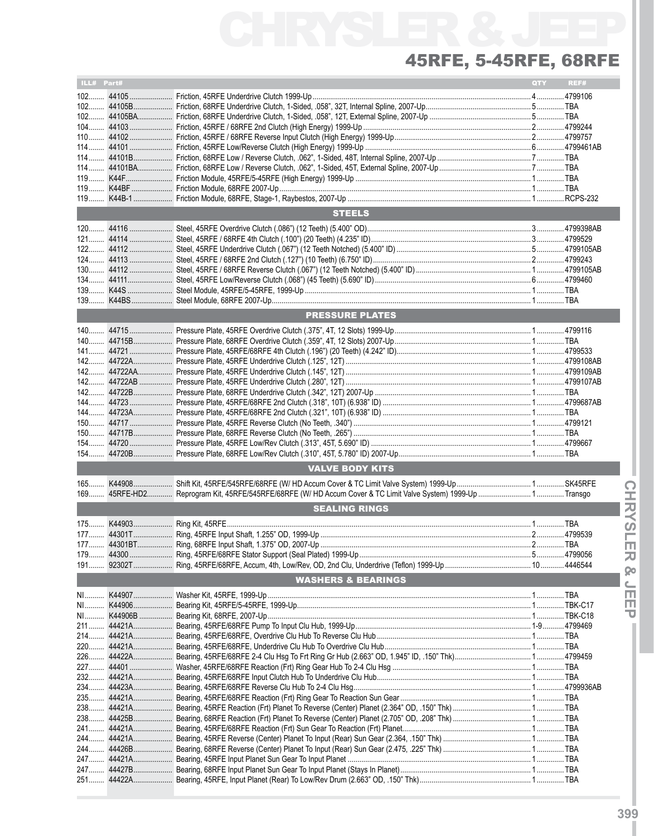| ILL# Part# |                               | <b>QTY</b> | REF# |
|------------|-------------------------------|------------|------|
|            |                               |            |      |
|            |                               |            |      |
|            |                               |            |      |
|            |                               |            |      |
|            |                               |            |      |
|            |                               |            |      |
|            |                               |            |      |
|            |                               |            |      |
|            |                               |            |      |
|            |                               |            |      |
|            |                               |            |      |
|            |                               |            |      |
|            |                               |            |      |
|            | <b>STEELS</b>                 |            |      |
|            |                               |            |      |
|            |                               |            |      |
|            |                               |            |      |
|            |                               |            |      |
|            |                               |            |      |
|            |                               |            |      |
|            |                               |            |      |
|            |                               |            |      |
|            |                               |            |      |
|            | <b>PRESSURE PLATES</b>        |            |      |
|            |                               |            |      |
|            |                               |            |      |
|            |                               |            |      |
|            |                               |            |      |
|            |                               |            |      |
|            |                               |            |      |
|            |                               |            |      |
|            |                               |            |      |
|            |                               |            |      |
|            |                               |            |      |
|            |                               |            |      |
|            |                               |            |      |
|            |                               |            |      |
|            |                               |            |      |
|            |                               |            |      |
|            |                               |            |      |
|            | <b>VALVE BODY KITS</b>        |            |      |
|            |                               |            |      |
|            |                               |            |      |
|            | <b>SEALING RINGS</b>          |            |      |
|            |                               |            |      |
|            |                               |            |      |
|            |                               |            |      |
|            |                               |            |      |
|            |                               |            |      |
|            |                               |            |      |
|            |                               |            |      |
|            | <b>WASHERS &amp; BEARINGS</b> |            |      |
|            |                               |            |      |
|            |                               |            |      |
|            |                               |            |      |
|            |                               |            |      |
|            |                               |            |      |
|            |                               |            |      |
|            |                               |            |      |
|            |                               |            |      |
|            |                               |            |      |
|            |                               |            |      |
|            |                               |            |      |
|            |                               |            |      |
|            |                               |            |      |
|            |                               |            |      |
|            |                               |            |      |
|            |                               |            |      |
|            |                               |            |      |
|            |                               |            |      |
|            |                               |            |      |
|            |                               |            |      |
|            |                               |            |      |
|            |                               |            |      |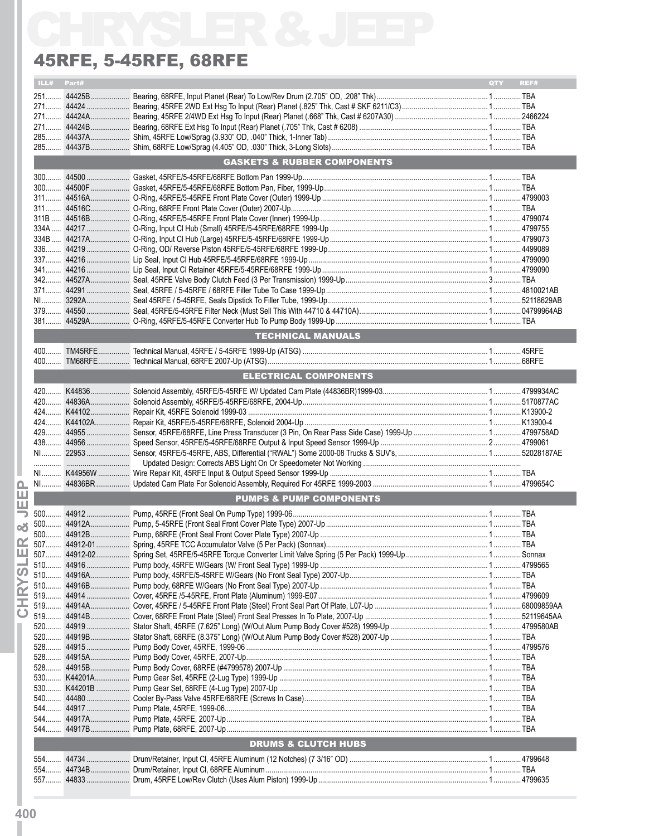### 45RFE, 5-45RFE, 68RFE

|     |            | <b>45RFE, 5-45RFE, 68RFE</b>           |            |      |
|-----|------------|----------------------------------------|------------|------|
|     | ILL# Part# |                                        | <b>OTY</b> | REF# |
|     |            |                                        |            |      |
|     |            |                                        |            |      |
|     |            |                                        |            |      |
|     |            |                                        |            |      |
|     |            |                                        |            |      |
|     |            |                                        |            |      |
|     |            | <b>GASKETS &amp; RUBBER COMPONENTS</b> |            |      |
|     |            |                                        |            |      |
|     |            |                                        |            |      |
|     |            |                                        |            |      |
|     |            |                                        |            |      |
|     |            |                                        |            |      |
|     |            |                                        |            |      |
|     |            |                                        |            |      |
|     |            |                                        |            |      |
|     |            |                                        |            |      |
|     |            |                                        |            |      |
|     |            |                                        |            |      |
|     |            |                                        |            |      |
|     |            |                                        |            |      |
|     |            |                                        |            |      |
|     |            |                                        |            |      |
|     |            | <b>TECHNICAL MANUALS</b>               |            |      |
|     |            |                                        |            |      |
|     |            |                                        |            |      |
|     |            | <b>ELECTRICAL COMPONENTS</b>           |            |      |
|     |            |                                        |            |      |
|     |            |                                        |            |      |
|     |            |                                        |            |      |
|     |            |                                        |            |      |
|     |            |                                        |            |      |
|     |            |                                        |            |      |
|     |            |                                        |            |      |
|     |            |                                        |            |      |
|     |            |                                        |            |      |
|     |            |                                        |            |      |
|     |            | <b>PUMPS &amp; PUMP COMPONENTS</b>     |            |      |
|     |            |                                        |            |      |
|     |            |                                        |            |      |
|     |            |                                        |            |      |
|     |            |                                        |            |      |
|     |            |                                        |            |      |
|     |            |                                        |            |      |
|     |            |                                        |            |      |
|     |            |                                        |            |      |
|     |            |                                        |            |      |
|     |            |                                        |            |      |
|     |            |                                        |            |      |
|     |            |                                        |            |      |
|     |            |                                        |            |      |
|     |            |                                        |            |      |
|     |            |                                        |            |      |
|     |            |                                        |            |      |
|     |            |                                        |            |      |
|     |            |                                        |            |      |
|     |            |                                        |            |      |
|     |            |                                        |            |      |
|     |            |                                        |            |      |
|     |            |                                        |            |      |
|     |            |                                        |            |      |
|     |            | <b>DRUMS &amp; CLUTCH HUBS</b>         |            |      |
|     |            |                                        |            |      |
| 554 |            |                                        |            |      |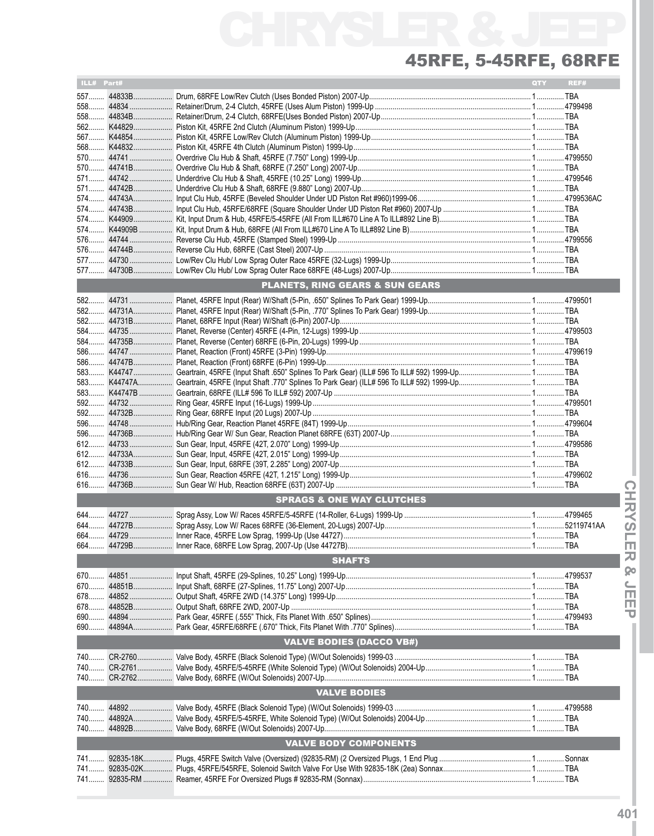| ILL# Part# |                     |                                            | <b>QTY</b> | REF# |  |  |  |
|------------|---------------------|--------------------------------------------|------------|------|--|--|--|
|            |                     |                                            |            |      |  |  |  |
|            |                     |                                            |            |      |  |  |  |
|            |                     |                                            |            |      |  |  |  |
|            |                     |                                            |            |      |  |  |  |
|            |                     |                                            |            |      |  |  |  |
|            |                     |                                            |            |      |  |  |  |
|            |                     |                                            |            |      |  |  |  |
|            |                     |                                            |            |      |  |  |  |
|            |                     |                                            |            |      |  |  |  |
|            |                     |                                            |            |      |  |  |  |
|            |                     |                                            |            |      |  |  |  |
|            |                     |                                            |            |      |  |  |  |
|            |                     |                                            |            |      |  |  |  |
|            |                     |                                            |            |      |  |  |  |
|            |                     |                                            |            |      |  |  |  |
|            |                     |                                            |            |      |  |  |  |
|            |                     |                                            |            |      |  |  |  |
|            |                     |                                            |            |      |  |  |  |
|            |                     | <b>PLANETS, RING GEARS &amp; SUN GEARS</b> |            |      |  |  |  |
|            |                     |                                            |            |      |  |  |  |
|            |                     |                                            |            |      |  |  |  |
|            |                     |                                            |            |      |  |  |  |
|            |                     |                                            |            |      |  |  |  |
|            |                     |                                            |            |      |  |  |  |
|            |                     |                                            |            |      |  |  |  |
|            |                     |                                            |            |      |  |  |  |
|            |                     |                                            |            |      |  |  |  |
|            |                     |                                            |            |      |  |  |  |
|            |                     |                                            |            |      |  |  |  |
|            |                     |                                            |            |      |  |  |  |
|            |                     |                                            |            |      |  |  |  |
|            |                     |                                            |            |      |  |  |  |
|            |                     |                                            |            |      |  |  |  |
|            |                     |                                            |            |      |  |  |  |
|            |                     |                                            |            |      |  |  |  |
|            |                     |                                            |            |      |  |  |  |
|            |                     |                                            |            |      |  |  |  |
|            |                     | <b>SPRAGS &amp; ONE WAY CLUTCHES</b>       |            |      |  |  |  |
|            |                     |                                            |            |      |  |  |  |
|            |                     |                                            |            |      |  |  |  |
|            |                     |                                            |            |      |  |  |  |
|            |                     |                                            |            |      |  |  |  |
|            |                     |                                            |            |      |  |  |  |
|            |                     | <b>SHAFTS</b>                              |            |      |  |  |  |
|            |                     |                                            |            |      |  |  |  |
|            |                     |                                            |            |      |  |  |  |
|            |                     |                                            |            |      |  |  |  |
|            |                     |                                            |            |      |  |  |  |
|            |                     |                                            |            |      |  |  |  |
|            |                     |                                            |            |      |  |  |  |
|            |                     | <b>VALVE BODIES (DACCO VB#)</b>            |            |      |  |  |  |
|            |                     |                                            |            |      |  |  |  |
|            |                     |                                            |            |      |  |  |  |
|            |                     |                                            |            |      |  |  |  |
|            | <b>VALVE BODIES</b> |                                            |            |      |  |  |  |
| 740        |                     |                                            |            |      |  |  |  |
|            |                     |                                            |            |      |  |  |  |
| 740        |                     |                                            |            |      |  |  |  |
|            |                     | <b>VALVE BODY COMPONENTS</b>               |            |      |  |  |  |
|            |                     |                                            |            |      |  |  |  |
|            |                     |                                            |            |      |  |  |  |
|            |                     |                                            |            |      |  |  |  |
| 741        |                     |                                            |            |      |  |  |  |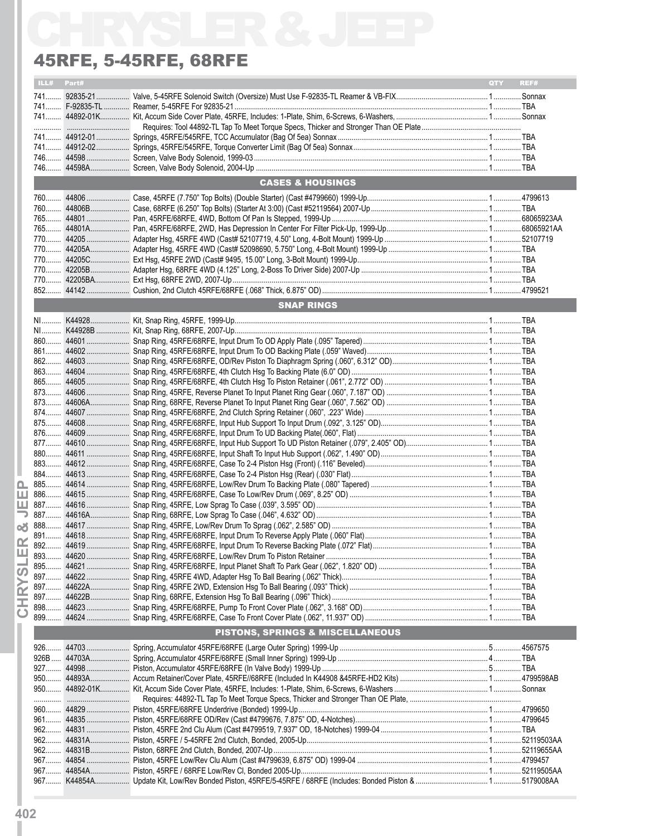### 45RFE, 5-45RFE, 68RFE

|       |            | <b>45RFE, 5-45RFE, 68RFE</b>     |            |      |
|-------|------------|----------------------------------|------------|------|
|       | ILL# Part# |                                  | <b>QTY</b> | REF# |
|       |            |                                  |            |      |
|       |            |                                  |            |      |
|       |            |                                  |            |      |
|       |            |                                  |            |      |
|       |            |                                  |            |      |
|       |            |                                  |            |      |
|       |            |                                  |            |      |
|       |            |                                  |            |      |
|       |            | <b>CASES &amp; HOUSINGS</b>      |            |      |
|       |            |                                  |            |      |
|       |            |                                  |            |      |
|       |            |                                  |            |      |
|       |            |                                  |            |      |
|       |            |                                  |            |      |
|       |            |                                  |            |      |
|       |            |                                  |            |      |
|       |            |                                  |            |      |
|       |            |                                  |            |      |
|       |            | <b>SNAP RINGS</b>                |            |      |
|       |            |                                  |            |      |
|       |            |                                  |            |      |
|       |            |                                  |            |      |
|       |            |                                  |            |      |
|       |            |                                  |            |      |
|       |            |                                  |            |      |
|       |            |                                  |            |      |
|       |            |                                  |            |      |
|       |            |                                  |            |      |
|       |            |                                  |            |      |
|       |            |                                  |            |      |
|       |            |                                  |            |      |
|       |            |                                  |            |      |
|       |            |                                  |            |      |
|       |            |                                  |            |      |
|       |            |                                  |            |      |
|       |            |                                  |            |      |
|       |            |                                  |            |      |
|       |            |                                  |            |      |
|       |            |                                  |            |      |
|       |            |                                  |            |      |
|       |            |                                  |            |      |
|       |            |                                  |            |      |
|       |            |                                  |            |      |
|       |            |                                  |            |      |
|       |            |                                  |            |      |
|       |            |                                  |            |      |
|       |            |                                  |            |      |
|       |            |                                  |            |      |
|       |            | PISTONS, SPRINGS & MISCELLANEOUS |            |      |
| $926$ |            |                                  |            |      |
|       |            |                                  |            |      |
|       |            |                                  |            |      |
|       |            |                                  |            |      |
|       |            |                                  |            |      |
|       |            |                                  |            |      |
|       |            |                                  |            |      |
|       |            |                                  |            |      |
|       |            |                                  |            |      |
|       |            |                                  |            |      |
|       |            |                                  |            |      |
|       |            |                                  |            |      |
|       |            |                                  |            |      |